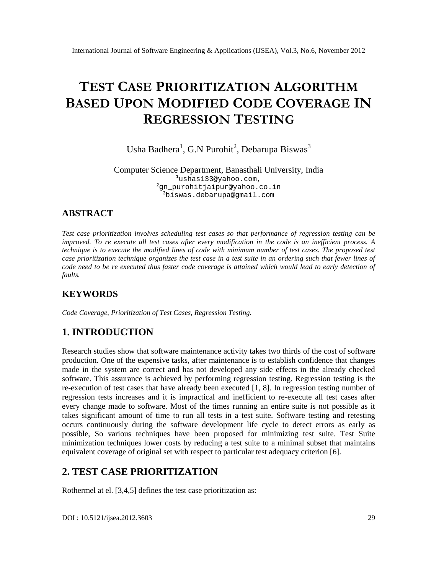# TESTCASEPRIORITIZATION GORITHM BASE DUPO NMODIFIEDCODECOVERAGIE REGRESSIONSTING

# Usha Badhera G.N Purohit, Debarupa Biswas

#### Computer Science Department, Banasthali University, India <sup>1</sup>[ushas133@yahoo.com,](mailto:1ushas133@yahoo.com)  $^{2}$ [gn\\_purohitjaipur@yahoo.co.in](mailto:2gn_purohitjaipur@yahoo.co) <sup>3</sup>biswas.d[ebarupa@gmail.com](mailto:debarupa@gmail.com)

### ABSTRACT

Test case prioritization involves scheduling test cases so that performance of regression testing can be improved. To re execute all test cases after every modificationeircode is an inefficient process. A technique is to execute the modified lines of code with minimum number of test cases. The proposed test case prioritization technique organizes the test case in a test suite in an ordering such that fewer lines of code need to be re executed thus faster code coverage is attained which would lead to early detection of faults.

# **KEYWORDS**

Code Coverage, Prioritization of Test Cases, Regression Testing.

# 1. INTRODUCTION

Research studies show that software maintenactority takes two thirds of the cost of software production. One of the expensive tasks, after maintenance is to establish confidence that changes made in the system are correct and has not developed any side effects in the already checked software. Thisassurance is achieved by performing regression testing. Regression testing is the re-execution of test cases that have already been executed [1, 8]. In regression testing number of regression tests increases and it is impractical and inefficient disentee all test cases after every change made to software. Most of the times running an entire suite is not possible as it takes significant amount of time to run all tests in a test suite. Software testing and retesting occurs continuously during the softwardevelopment life cycle to detect errors as early as possible, So various techniques have been proposed for minimizing test suite. Test Suite minimization techniques lower costs by reducing a test suite to a minimal subset that maintains equivalent coverage of original set with respect to particular test adequacy criterion [6].

# 2. TEST CASE PRIORITIZATION

Rothermel at el. [3,4,5] defines the test case prioritization as:

DOI : 10.5121/ijsea.2012.3603 29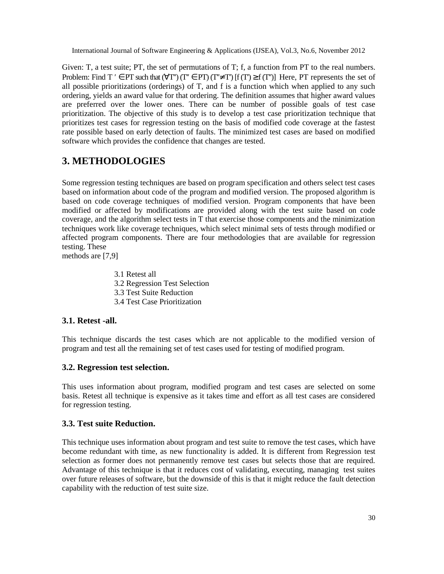Given: T, a test suite; PT, the set of permutations of T; f, a function from PT to the real numbers. Problem: Find  $T \in PT$  such that  $(\forall T)(T \in PT)(T \neq T)$  [f  $(T) \geq f(T)$ ] Here, PT represents the set of all possible prioritizations (orderings) of T, and f is a function which when applied to any such ordering, yields an award value for that ordering. The definition assumes that higher award values are preferred over the lower ones. There can be number of possible goals of test case prioritization. The objective of this study is to develop a test case prioritization technique that prioritizes test cases for regression testing on the basis of modified code coverage at the fastest rate possible based on early detection of faults. The minimized test cases are based on modified software which provides the confidence that changes are tested.

# **3. METHODOLOGIES**

Some regression testing techniques are based on program specification and others select test cases based on information about code of the program and modified version. The proposed algorithm is based on code coverage techniques of modified version. Program components that have been modified or affected by modifications are provided along with the test suite based on code coverage, and the algorithm select tests in T that exercise those components and the minimization techniques work like coverage techniques, which select minimal sets of tests through modified or affected program components. There are four methodologies that are available for regression testing. These

methods are [7,9]

3.1 Retest all 3.2 Regression Test Selection 3.3 Test Suite Reduction 3.4 Test Case Prioritization

### **3.1. Retest -all.**

This technique discards the test cases which are not applicable to the modified version of program and test all the remaining set of test cases used for testing of modified program.

### **3.2. Regression test selection.**

This uses information about program, modified program and test cases are selected on some basis. Retest all technique is expensive as it takes time and effort as all test cases are considered for regression testing.

### **3.3. Test suite Reduction.**

This technique uses information about program and test suite to remove the test cases, which have become redundant with time, as new functionality is added. It is different from Regression test selection as former does not permanently remove test cases but selects those that are required. Advantage of this technique is that it reduces cost of validating, executing, managing test suites over future releases of software, but the downside of this is that it might reduce the fault detection capability with the reduction of test suite size.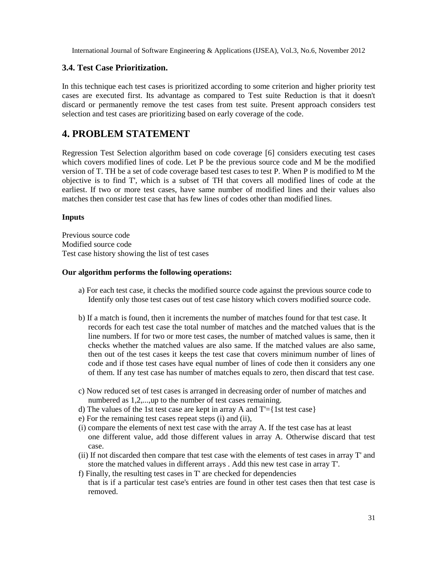### **3.4. Test Case Prioritization.**

In this technique each test cases is prioritized according to some criterion and higher priority test cases are executed first. Its advantage as compared to Test suite Reduction is that it doesn't discard or permanently remove the test cases from test suite. Present approach considers test selection and test cases are prioritizing based on early coverage of the code.

### **4. PROBLEM STATEMENT**

Regression Test Selection algorithm based on code coverage [6] considers executing test cases which covers modified lines of code. Let P be the previous source code and M be the modified version of T. TH be a set of code coverage based test cases to test P. When P is modified to M the objective is to find T', which is a subset of TH that covers all modified lines of code at the earliest. If two or more test cases, have same number of modified lines and their values also matches then consider test case that has few lines of codes other than modified lines.

#### **Inputs**

Previous source code Modified source code Test case history showing the list of test cases

#### **Our algorithm performs the following operations:**

- a) For each test case, it checks the modified source code against the previous source code to Identify only those test cases out of test case history which covers modified source code.
- b) If a match is found, then it increments the number of matches found for that test case. It records for each test case the total number of matches and the matched values that is the line numbers. If for two or more test cases, the number of matched values is same, then it checks whether the matched values are also same. If the matched values are also same, then out of the test cases it keeps the test case that covers minimum number of lines of code and if those test cases have equal number of lines of code then it considers any one of them. If any test case has number of matches equals to zero, then discard that test case.
- c) Now reduced set of test cases is arranged in decreasing order of number of matches and numbered as 1,2,...,up to the number of test cases remaining.
- d) The values of the 1st test case are kept in array A and  $T = \{1st \text{ test case}\}\$
- e) For the remaining test cases repeat steps (i) and (ii),
- (i) compare the elements of next test case with the array A. If the test case has at least one different value, add those different values in array A. Otherwise discard that test case.
- (ii) If not discarded then compare that test case with the elements of test cases in array T' and store the matched values in different arrays . Add this new test case in array T'.
- f) Finally, the resulting test cases in T' are checked for dependencies that is if a particular test case's entries are found in other test cases then that test case is removed.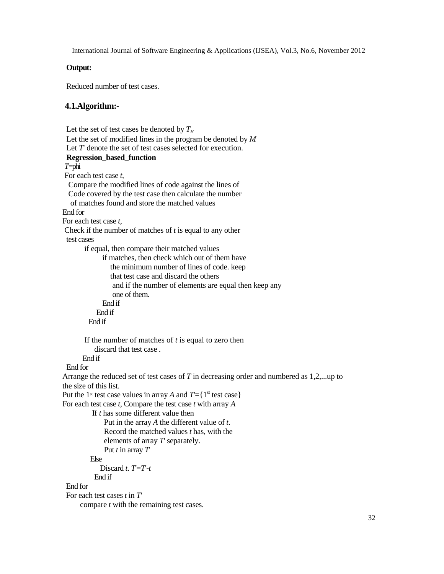### **Output:**

Reduced number of test cases.

#### **4.1.Algorithm:-**

```
Let the set of test cases be denoted by T_HLet the set of modified lines in the program be denoted by M
 Let T denote the set of test cases selected for execution.
 Regression_based_function
T'=phi
For each test case t,
 Compare the modified lines of code against the lines of
 Code covered by the test case then calculate the number
  of matches found and store the matched values
End for
For each test case t,
Check if the number of matches of t is equal to any other
 test cases
       if equal, then compare their matched values
             if matches, then check which out of them have
                the minimum number of lines of code. keep
                that test case and discard the others
                and if the number of elements are equal then keep any
                one of them.
             End if
           End if
        End if
       If the number of matches of t is equal to zero then
          discard that test case .
      End if
 End for
Arrange the reduced set of test cases of T in decreasing order and numbered as 1,2,...up to
the size of this list.
Put the 1<sup>st</sup> test case values in array A and T = \{1^{\text{st}} \text{ test case}\}\For each test case t, Compare the test case t with array A
         If t has some different value then
             Put in the array A the different value of t.
             Record the matched values t has, with the
             elements of array T' separately.
             Put t in array T'
         Else
            Discard t. T=T-tEnd if
End for
 For each test cases t in T'
      compare t with the remaining test cases.
```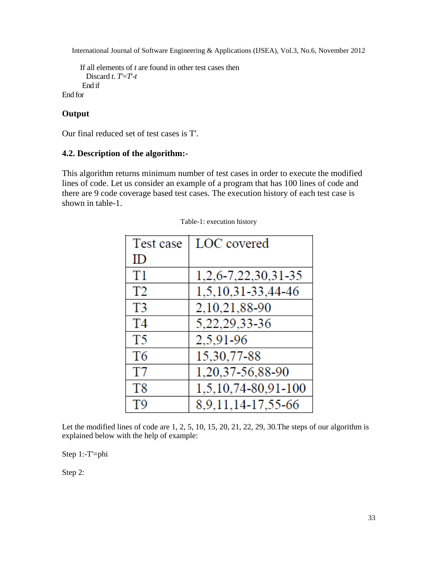```
If all elements of t are found in other test cases then
       Discard t. T=T-tEnd if
End for
```
### **Output**

Our final reduced set of test cases is T'.

### **4.2. Description of the algorithm:-**

This algorithm returns minimum number of test cases in order to execute the modified lines of code. Let us consider an example of a program that has 100 lines of code and there are 9 code coverage based test cases. The execution history of each test case is shown in table-1.

| Test case      | LOC covered         |
|----------------|---------------------|
| ID             |                     |
| T <sub>1</sub> | 1,2,6-7,22,30,31-35 |
| T <sub>2</sub> | 1,5,10,31-33,44-46  |
| T <sub>3</sub> | 2,10,21,88-90       |
| T4             | 5, 22, 29, 33-36    |
| T5             | 2,5,91-96           |
| T <sub>6</sub> | 15,30,77-88         |
| T7             | 1,20,37-56,88-90    |
| T <sub>8</sub> | 1,5,10,74-80,91-100 |
| T <sub>9</sub> | 8,9,11,14-17,55-66  |

Table-1: execution history

Let the modified lines of code are 1, 2, 5, 10, 15, 20, 21, 22, 29, 30.The steps of our algorithm is explained below with the help of example:

Step 1:-T'=phi

Step 2: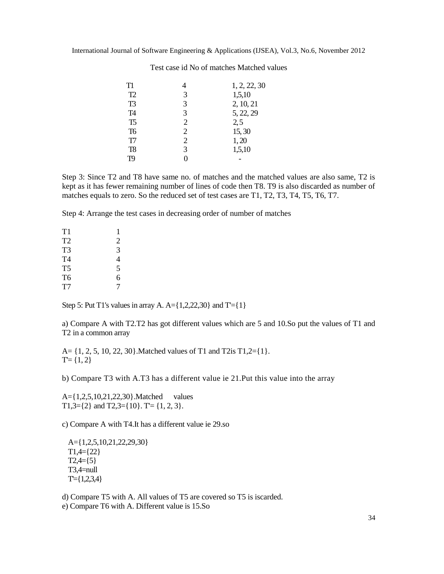| T1             |                | 1, 2, 22, 30 |
|----------------|----------------|--------------|
| T2             | 3              | 1,5,10       |
| T <sub>3</sub> | 3              | 2, 10, 21    |
| T <sub>4</sub> | 3              | 5, 22, 29    |
| T <sub>5</sub> | $\overline{2}$ | 2, 5         |
| T <sub>6</sub> | 2              | 15,30        |
| T <sub>7</sub> | 2              | 1,20         |
| T <sub>8</sub> | 3              | 1,5,10       |
| T9             | 0              |              |
|                |                |              |

Test case id No of matches Matched values

Step 3: Since T2 and T8 have same no. of matches and the matched values are also same, T2 is kept as it has fewer remaining number of lines of code then T8. T9 is also discarded as number of matches equals to zero. So the reduced set of test cases are T1, T2, T3, T4, T5, T6, T7.

Step 4: Arrange the test cases in decreasing order of number of matches

| T1             | ı              |
|----------------|----------------|
| T <sub>2</sub> | $\overline{c}$ |
| T3             | 3              |
| T4             | 4              |
| T <sub>5</sub> | 5              |
| T6             | 6              |
| T7             | 7              |

Step 5: Put T1's values in array A.  $A = \{1,2,22,30\}$  and  $T = \{1\}$ 

a) Compare A with T2.T2 has got different values which are 5 and 10.So put the values of T1 and T2 in a common array

A=  $\{1, 2, 5, 10, 22, 30\}$ . Matched values of T1 and T2is T1,2= $\{1\}$ .  $T = \{1, 2\}$ 

b) Compare T3 with A.T3 has a different value ie 21.Put this value into the array

A={1,2,5,10,21,22,30}.Matched values T1,3= $\{2\}$  and T2,3= $\{10\}$ . T'=  $\{1, 2, 3\}$ .

c) Compare A with T4.It has a different value ie 29.so

A={1,2,5,10,21,22,29,30}  $T1,4=\{22\}$  $T2,4=\{5\}$ T3,4=null  $T = \{1,2,3,4\}$ 

d) Compare T5 with A. All values of T5 are covered so T5 is iscarded.

e) Compare T6 with A. Different value is 15.So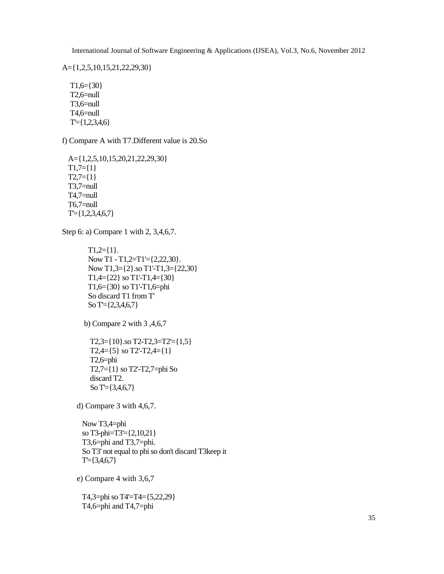A={1,2,5,10,15,21,22,29,30}

 $T1,6=\{30\}$ T2,6=null T3,6=null T4,6=null  $T = \{1,2,3,4,6\}$ 

f) Compare A with T7.Different value is 20.So

A={1,2,5,10,15,20,21,22,29,30}  $T1,7=\{1\}$  $T2,7=\{1\}$ T3,7=null T4,7=null T6,7=null T'={1,2,3,4,6,7}

Step 6: a) Compare 1 with 2, 3,4,6,7.

```
T1,2=\{1\}.Now T1 - T1,2=T1'={2,22,30}.
Now T1,3={2}.so T1'-T1,3={22,30}
T1,4=\{22\} so T1'-T1,4=\{30\}T1,6={30} so T1'-T1,6=phi
So discard T1 from T'
So T'={2,3,4,6,7}
```
b) Compare 2 with 3 ,4,6,7

T2,3={10}.so T2-T2,3=T2'={1,5}  $T2,4=\{5\}$  so T2'-T2,4= $\{1\}$ T2,6=phi T2,7={1} so T2'-T2,7=phi So discard T2. So T'={3,4,6,7}

d) Compare 3 with 4,6,7.

Now T3,4=phi so T3-phi=T3'={2,10,21} T3,6=phi and T3,7=phi. So T3' not equal to phi so don't discard T3keep it  $T = \{3,4,6,7\}$ 

e) Compare 4 with 3,6,7

T4,3=phi so T4'=T4={5,22,29} T4,6=phi and T4,7=phi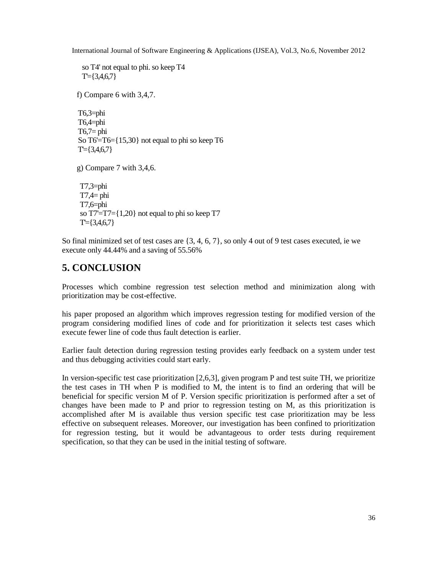so T4' not equal to phi. so keep T4  $T = \{3,4,6,7\}$ f) Compare 6 with 3,4,7. T6,3=phi T6,4=phi  $T6,7=$  phi So T6'=T6={15,30} not equal to phi so keep T6  $T = \{3,4,6,7\}$ g) Compare 7 with 3,4,6. T7,3=phi  $T7,4=$ phi T7,6=phi so T7'=T7={1,20} not equal to phi so keep T7  $T = \{3,4,6,7\}$ 

So final minimized set of test cases are {3, 4, 6, 7}, so only 4 out of 9 test cases executed, ie we execute only 44.44% and a saving of 55.56%

# **5. CONCLUSION**

Processes which combine regression test selection method and minimization along with prioritization may be cost-effective.

his paper proposed an algorithm which improves regression testing for modified version of the program considering modified lines of code and for prioritization it selects test cases which execute fewer line of code thus fault detection is earlier.

Earlier fault detection during regression testing provides early feedback on a system under test and thus debugging activities could start early.

In version-specific test case prioritization [2,6,3], given program P and test suite TH, we prioritize the test cases in TH when P is modified to M, the intent is to find an ordering that will be beneficial for specific version M of P. Version specific prioritization is performed after a set of changes have been made to P and prior to regression testing on M, as this prioritization is accomplished after M is available thus version specific test case prioritization may be less effective on subsequent releases. Moreover, our investigation has been confined to prioritization for regression testing, but it would be advantageous to order tests during requirement specification, so that they can be used in the initial testing of software.